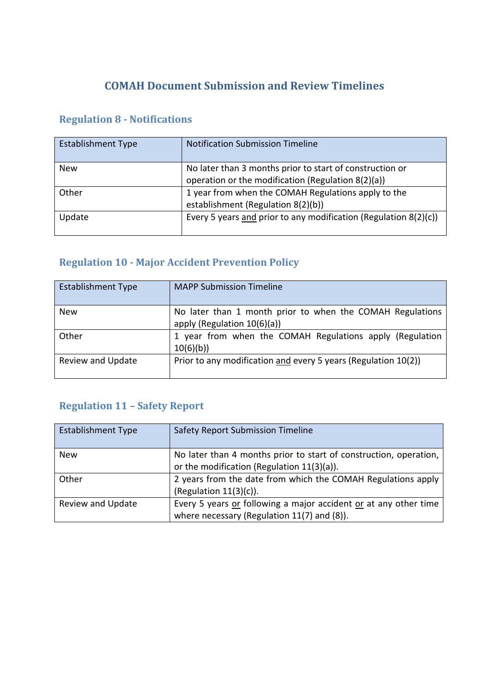## **COMAH Document Submission and Review Timelines**

### **Regulation 8 - Notifications**

| <b>Establishment Type</b> | <b>Notification Submission Timeline</b>                                                                        |
|---------------------------|----------------------------------------------------------------------------------------------------------------|
| <b>New</b>                | No later than 3 months prior to start of construction or<br>operation or the modification (Regulation 8(2)(a)) |
| Other                     | 1 year from when the COMAH Regulations apply to the<br>establishment (Regulation 8(2)(b))                      |
| Update                    | Every 5 years and prior to any modification (Regulation 8(2)(c))                                               |

# **Regulation 10 - Major Accident Prevention Policy**

| <b>Establishment Type</b> | <b>MAPP Submission Timeline</b>                                                             |
|---------------------------|---------------------------------------------------------------------------------------------|
| <b>New</b>                | No later than 1 month prior to when the COMAH Regulations<br>apply (Regulation $10(6)(a)$ ) |
| Other                     | 1 year from when the COMAH Regulations apply (Regulation<br>10(6)(b)                        |
| Review and Update         | Prior to any modification and every 5 years (Regulation 10(2))                              |

# **Regulation 11 – Safety Report**

| <b>Establishment Type</b> | Safety Report Submission Timeline                                 |
|---------------------------|-------------------------------------------------------------------|
| <b>New</b>                | No later than 4 months prior to start of construction, operation, |
|                           | or the modification (Regulation 11(3)(a)).                        |
| Other                     | 2 years from the date from which the COMAH Regulations apply      |
|                           | (Regulation $11(3)(c)$ ).                                         |
| <b>Review and Update</b>  | Every 5 years or following a major accident or at any other time  |
|                           | where necessary (Regulation 11(7) and (8)).                       |